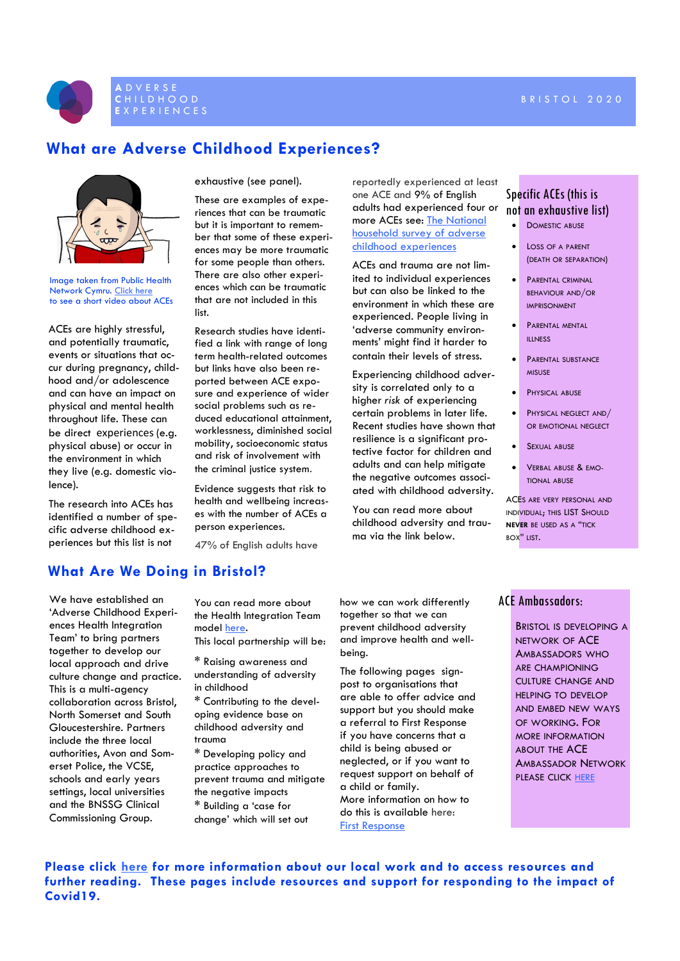#### **C** H I L D H O O D B R I S T O L 2 0 2 0



# **What are Adverse Childhood Experiences?**



Image taken from Public Health Network Cymru. [Click here](https://www.youtube.com/watch?v=YiMjTzCnbNQ) to see a short video about ACEs

ACEs are highly stressful, and potentially traumatic, events or situations that occur during pregnancy, childhood and/or adolescence and can have an impact on physical and mental health throughout life. These can be direct experiences (e.g. physical abuse) or occur in the environment in which they live (e.g. domestic violence).

The research into ACEs has identified a number of specific adverse childhood experiences but this list is not

exhaustive (see panel).

These are examples of experiences that can be traumatic but it is important to remember that some of these experiences may be more traumatic for some people than others. There are also other experiences which can be traumatic that are not included in this list.

Research studies have identified a link with range of long term health-related outcomes but links have also been reported between ACE exposure and experience of wider social problems such as reduced educational attainment, worklessness, diminished social mobility, socioeconomic status and risk of involvement with the criminal justice system.

Evidence suggests that risk to health and wellbeing increases with the number of ACEs a person experiences.

47% of English adults have

reportedly experienced at least one ACE and 9% of English adults had experienced four or more ACEs see: [The National](https://bmcmedicine.biomedcentral.com/track/pdf/10.1186/1741-7015-12-72)  [household survey of adverse](https://bmcmedicine.biomedcentral.com/track/pdf/10.1186/1741-7015-12-72)  [childhood experiences](https://bmcmedicine.biomedcentral.com/track/pdf/10.1186/1741-7015-12-72)

ACEs and trauma are not limited to individual experiences but can also be linked to the environment in which these are experienced. People living in 'adverse community environments' might find it harder to contain their levels of stress.

Experiencing childhood adversity is correlated only to a higher *risk* of experiencing certain problems in later life. Recent studies have shown that resilience is a significant protective factor for children and adults and can help mitigate the negative outcomes associated with childhood adversity.

You can read more about childhood adversity and trauma via the link below.

### Specific ACEs (this is not an exhaustive list)

- **DOMESTIC ABUSE**
- LOSS OF A PARENT (DEATH OR SEPARATION)
- **PARENTAL CRIMINAL** BEHAVIOUR AND/OR IMPRISONMENT
- **PARENTAL MENTAL** ILLNESS
- **PARENTAL SUBSTANCE MISUSE**
- **PHYSICAL ABUSE**
- **PHYSICAL NEGLECT AND/** OR EMOTIONAL NEGLECT
- **SEXUAL ABUSE**
- VERBAL ABUSE & EMO-TIONAL ABUSE

ACES ARE VERY PERSONAL AND INDIVIDUAL; THIS LIST SHOULD **NEVER** BE USED AS A "TICK  $B\cap Y''$  LIST.

### **What Are We Doing in Bristol?**

We have established an 'Adverse Childhood Experiences Health Integration Team' to bring partners together to develop our local approach and drive culture change and practice. This is a multi-agency collaboration across Bristol, North Somerset and South Gloucestershire. Partners include the three local authorities, Avon and Somerset Police, the VCSE, schools and early years settings, local universities and the BNSSG Clinical Commissioning Group.

You can read more about the Health Integration Team model [here](https://www.bristolhealthpartners.org.uk/health-integration-teams/adverse-childhood-experiences-ace/more-on-the-adverse-child-experiences-hit/).

This local partnership will be:

- **\*** Raising awareness and understanding of adversity in childhood
- **\*** Contributing to the developing evidence base on childhood adversity and trauma
- **\*** Developing policy and practice approaches to prevent trauma and mitigate the negative impacts **\*** Building a 'case for change' which will set out

how we can work differently together so that we can prevent childhood adversity and improve health and wellbeing.

The following pages signpost to organisations that are able to offer advice and support but you should make a referral to First Response if you have concerns that a child is being abused or neglected, or if you want to request support on behalf of a child or family. More information on how to do this is available here: [First Response](https://www.bristol.gov.uk/social-care-health/reporting-concerns-about-a-child-first-response)

### ACE Ambassadors:

BRISTOL IS DEVELOPING A NETWORK OF ACE AMBASSADORS WHO ARE CHAMPIONING CULTURE CHANGE AND HELPING TO DEVELOP AND EMBED NEW WAYS OF WORKING. FOR MORE INFORMATION ABOUT THE ACE AMBASSADOR NETWORK PLEASE CLICK [HERE](https://bristolsafeguarding.org/policies-and-guidance/adverse-childhood-experiences-and-trauma-informed-practice-in-bristol/)

**Please click [here](https://bristolsafeguarding.org/policies-and-guidance/adverse-childhood-experiences-and-trauma-informed-practice-in-bristol/) for more information about our local work and to access resources and further reading. These pages include resources and support for responding to the impact of Covid19.**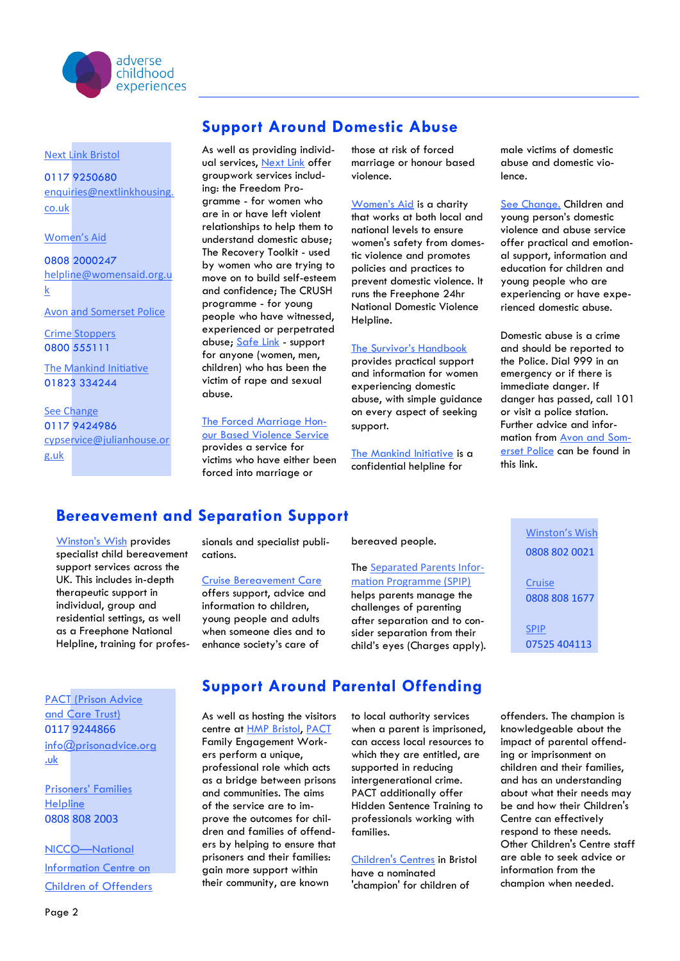

[Next Link Bristol](https://nextlinkhousing.co.uk/)

0117 9250680 [enquiries@nextlinkhousing.](mailto:enquiries@nextlinkhousing.co.uk) [co.uk](mailto:enquiries@nextlinkhousing.co.uk)

#### [Women's Aid](https://www.womensaid.org.uk/)

0808 2000247 [helpline@womensaid.org.u](mailto:helpline@womensaid.org.uk) [k](mailto:helpline@womensaid.org.uk)

[Avon and Somerset Police](https://www.avonandsomerset.police.uk/advice/threats,-assault-and-hate-crime/domestic-abuse/)

[Crime Stoppers](https://crimestoppers-uk.org/) 0800 555111

[The Mankind Initiative](https://www.mankind.org.uk/) 01823 334244

[See Change](https://www.julianhouse.org.uk/projects-and-services/domestic-abuse/children-and-young-peoples-service.htm) 0117 9424986 [cypservice@julianhouse.or](mailto:sypservice@julianhouse.org.uk) [g.uk](mailto:sypservice@julianhouse.org.uk)

## **Support Around Domestic Abuse**

As well as providing individ-ual services, [Next Link](https://nextlinkhousing.co.uk/) offer groupwork services including: the Freedom Programme - for women who are in or have left violent relationships to help them to understand domestic abuse; The Recovery Toolkit - used by women who are trying to move on to build self-esteem and confidence; The CRUSH programme - for young people who have witnessed, experienced or perpetrated abuse; [Safe Link](https://safelinksupport.co.uk/) - support for anyone (women, men, children) who has been the victim of rape and sexual abuse.

### [The Forced Marriage Hon-](http://www.forcedmarriageadvice.co.uk/)

[our Based Violence Service](http://www.forcedmarriageadvice.co.uk/) provides a service for victims who have either been forced into marriage or

those at risk of forced marriage or honour based violence.

[Women's Aid](https://www.womensaid.org.uk/) is a charity that works at both local and national levels to ensure women's safety from domestic violence and promotes policies and practices to prevent domestic violence. It runs the Freephone 24hr National Domestic Violence Helpline.

#### [The Survivor's Handbook](https://www.womensaid.org.uk/the-survivors-handbook/)

provides practical support and information for women experiencing domestic abuse, with simple guidance on every aspect of seeking support.

[The Mankind Initiative](https://www.mankind.org.uk/) is a confidential helpline for

male victims of domestic abuse and domestic violence.

[See Change.](https://www.julianhouse.org.uk/projects-and-services/domestic-abuse/children-and-young-peoples-service.htm) Children and young person's domestic violence and abuse service offer practical and emotional support, information and education for children and young people who are experiencing or have experienced domestic abuse.

Domestic abuse is a crime and should be reported to the Police. Dial 999 in an emergency or if there is immediate danger. If danger has passed, call 101 or visit a police station. Further advice and information from [Avon and Som](https://www.avonandsomerset.police.uk/report/domestic-abuse/)[erset Police](https://www.avonandsomerset.police.uk/report/domestic-abuse/) can be found in this link.

# **Bereavement and Separation Support**

[Winston's Wish](https://www.winstonswish.org/about-us/) provides specialist child bereavement support services across the UK. This includes in-depth therapeutic support in individual, group and residential settings, as well as a Freephone National Helpline, training for professionals and specialist publications.

#### [Cruise Bereavement Care](https://www.cruse.org.uk/about-cruse)

offers support, advice and information to children, young people and adults when someone dies and to enhance society's care of

bereaved people.

### The [Separated Parents Infor](https://www.actionforchildren.org.uk/in-your-area/services/spips/bristol-separated-parents-information-programme-spip/)[mation Programme \(SPIP\)](https://www.actionforchildren.org.uk/in-your-area/services/spips/bristol-separated-parents-information-programme-spip/)

helps parents manage the challenges of parenting after separation and to consider separation from their child's eyes (Charges apply).

[PACT \(Prison Advice](https://www.prisonadvice.org.uk/)  [and Care Trust\)](https://www.prisonadvice.org.uk/) 0117 9244866 [info@prisonadvice.org](mailto:info@prisonadvice.org.uk) [.uk](mailto:info@prisonadvice.org.uk)

[Prisoners' Families](https://www.prisonersfamilies.org/)  **[Helpline](https://www.prisonersfamilies.org/)** 0808 808 2003

NICCO—[National](https://www.nicco.org.uk/)  [Information Centre on](https://www.nicco.org.uk/)  [Children of Offenders](https://www.nicco.org.uk/)

# **Support Around Parental Offending**

As well as hosting the visitors centre at [HMP Bristol,](http://www.justice.gov.uk/contacts/prison-finder/bristol) [PACT](https://www.prisonadvice.org.uk/) Family Engagement Workers perform a unique, professional role which acts as a bridge between prisons and communities. The aims of the service are to improve the outcomes for children and families of offenders by helping to ensure that prisoners and their families: gain more support within their community, are known

to local authority services when a parent is imprisoned, can access local resources to which they are entitled, are supported in reducing intergenerational crime. PACT additionally offer Hidden Sentence Training to professionals working with families.

[Children's Centres](https://www.bristol.gov.uk/documents/20182/34244/BD6322_Childrens_centres_guide_for_RW.pdf) in Bristol have a nominated 'champion' for children of

offenders. The champion is knowledgeable about the impact of parental offending or imprisonment on children and their families, and has an understanding about what their needs may be and how their Children's Centre can effectively respond to these needs. Other Children's Centre staff are able to seek advice or information from the champion when needed.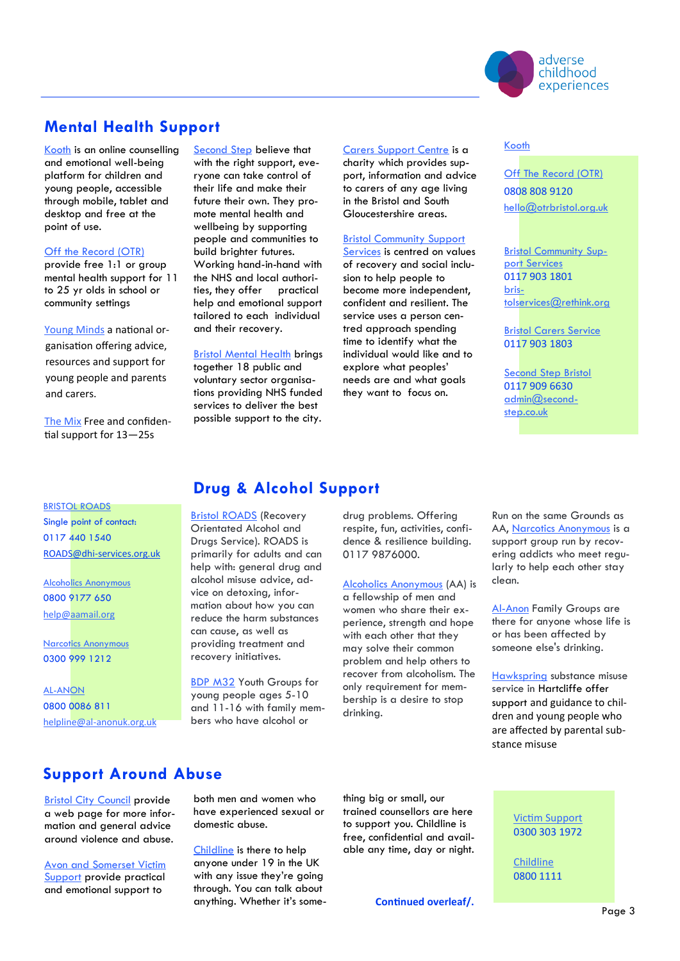

## **Mental Health Support**

[Kooth](https://www.kooth.com/) is an online counselling and emotional well-being platform for children and young people, accessible through mobile, tablet and desktop and free at the point of use.

#### [Off the Record \(OTR\)](https://www.otrbristol.org.uk/what-we-do/)

provide free 1:1 or group mental health support for 11 to 25 yr olds in school or community settings

[Young Minds](https://youngminds.org.uk/find-help/looking-after-yourself/coronavirus-and-mental-health/) a national organisation offering advice, resources and support for young people and parents and carers.

[The Mix](https://www.themix.org.uk/?mc_cid=4a887f69d4&mc_eid=3170a37cb4) Free and confidential support for 13—25s

**BRISTOL ROADS** 

Single point of contact: 0117 440 1540 ROADS@dhi-[services.org.uk](mailto:ROADS@dhi-services.org.uk) 

[Alcoholics Anonymous](https://www.alcoholics-anonymous.org.uk/About-AA) 0800 9177 650 [help@aamail.org](mailto:help@aamail.org)

[Narcotics Anonymous](https://ukna.org/) 0300 999 1212

[AL-ANON](https://www.al-anonuk.org.uk/) 0800 0086 811 helpline@al-[anonuk.org.uk](mailto:helpline@al-anonuk.org.uk)  [Second Step](https://www.second-step.co.uk/) believe that with the right support, everyone can take control of their life and make their future their own. They promote mental health and wellbeing by supporting people and communities to build brighter futures. Working hand-in-hand with the NHS and local authorities, they offer practical help and emotional support tailored to each individual and their recovery.

[Bristol Mental Health](http://www.bristolmentalhealth.org/services/) brings together 18 public and voluntary sector organisations providing NHS funded services to deliver the best possible support to the city.

#### [Carers Support Centre](https://www.carerssupportcentre.org.uk/) is a

charity which provides support, information and advice to carers of any age living in the Bristol and South Gloucestershire areas.

#### **Bristol Community Support**

[Services](https://www.rethink.org/help-in-your-area/services/community-support/bristol-community-support-services/) is centred on values of recovery and social inclusion to help people to become more independent, confident and resilient. The service uses a person centred approach spending time to identify what the individual would like and to explore what peoples' needs are and what goals they want to focus on.

### [Kooth](https://www.kooth.com/)

[Off The Record \(OTR\)](https://www.otrbristol.org.uk/) 0808 808 9120 [hello@otrbristol.org.uk](mailto:hello@otrbristol.org.uk)

[Bristol Community Sup](https://www.rethink.org/help-in-your-area/services/community-support/bristol-community-support-services/)[port Services](https://www.rethink.org/help-in-your-area/services/community-support/bristol-community-support-services/) 0117 903 1801 [bris](mailto:bristolservices@rethink.org)[tolservices@rethink.org](mailto:bristolservices@rethink.org)

[Bristol Carers Service](https://www.rethink.org/help-in-your-area/services/carer-support/bristol-carer-service/)  0117 903 1803

**Second Step Bristol** 0117 909 6630 [admin@second](mailto:admin@second-step.co.uk)[step.co.uk](mailto:admin@second-step.co.uk)

# **Drug & Alcohol Support**

[Bristol ROADS](https://www.impactpathways.org.uk/Bristol-ROADS/Pathway-Services/) (Recovery Orientated Alcohol and Drugs Service). ROADS is primarily for adults and can help with: general drug and alcohol misuse advice, advice on detoxing, information about how you can reduce the harm substances can cause, as well as providing treatment and recovery initiatives.

[BDP M32](https://www.bdp.org.uk/youth) Youth Groups for young people ages 5-10 and 11-16 with family members who have alcohol or

drug problems. Offering respite, fun, activities, confidence & resilience building. 0117 9876000.

[Alcoholics Anonymous](https://www.alcoholics-anonymous.org.uk/About-AA) (AA) is

a fellowship of men and women who share their experience, strength and hope with each other that they may solve their common problem and help others to recover from alcoholism. The only requirement for membership is a desire to stop drinking.

Run on the same Grounds as AA, [Narcotics Anonymous](https://ukna.org/) is a support group run by recovering addicts who meet regularly to help each other stay clean.

[Al-Anon](https://www.al-anonuk.org.uk/) Family Groups are there for anyone whose life is or has been affected by someone else's drinking.

[Hawkspring](http://www.hawkspring.org.uk/young-people/4582123367.html) substance misuse service in Hartcliffe offer support and guidance to children and young people who are affected by parental substance misuse

> [Victim Support](https://www.victimsupport.org.uk/help-and-support/get-help/support-near-you/south-west/avon-and-somerset)  0300 303 1972

[Childline](https://www.childline.org.uk/)  0800 1111

# **Support Around Abuse**

[Bristol City Council](https://www.bristol.gov.uk/crime-emergencies/abuse-violence) provide a web page for more information and general advice around violence and abuse.

[Avon and Somerset Victim](https://www.victimsupport.org.uk/help-and-support/get-help/support-near-you/south-west/avon-and-somerset)  [Support](https://www.victimsupport.org.uk/help-and-support/get-help/support-near-you/south-west/avon-and-somerset) provide practical and emotional support to

both men and women who have experienced sexual or domestic abuse.

[Childline](https://www.childline.org.uk/about/about-childline/) is there to help anyone under 19 in the UK with any issue they're going through. You can talk about anything. Whether it's something big or small, our trained counsellors are here to support you. Childline is free, confidential and available any time, day or night.

**Continued overleaf/.**